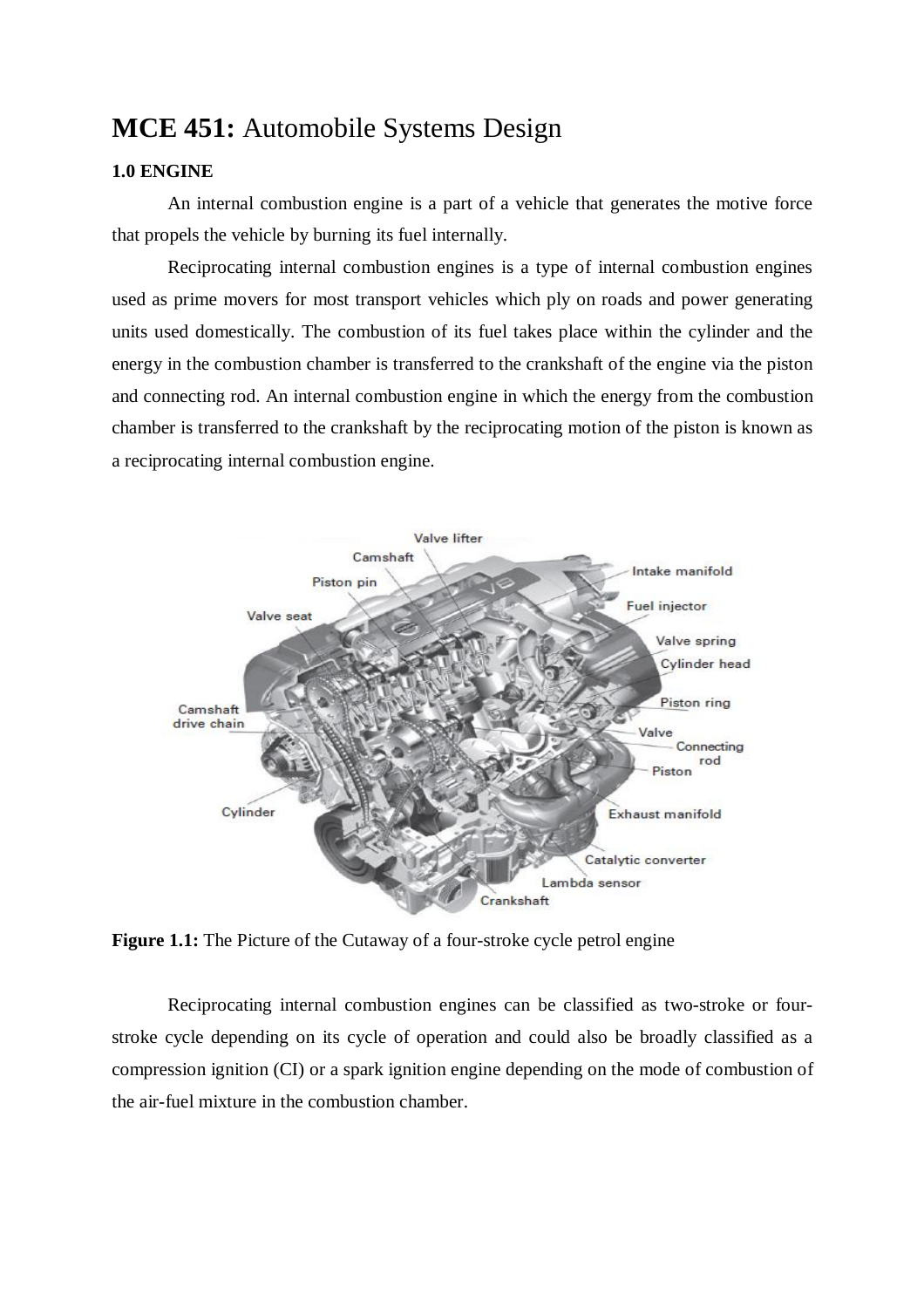## **MCE 451:** Automobile Systems Design

## **1.0 ENGINE**

An internal combustion engine is a part of a vehicle that generates the motive force that propels the vehicle by burning its fuel internally.

Reciprocating internal combustion engines is a type of internal combustion engines used as prime movers for most transport vehicles which ply on roads and power generating units used domestically. The combustion of its fuel takes place within the cylinder and the energy in the combustion chamber is transferred to the crankshaft of the engine via the piston and connecting rod. An internal combustion engine in which the energy from the combustion chamber is transferred to the crankshaft by the reciprocating motion of the piston is known as a reciprocating internal combustion engine.



**Figure 1.1:** The Picture of the Cutaway of a four-stroke cycle petrol engine

Reciprocating internal combustion engines can be classified as two-stroke or fourstroke cycle depending on its cycle of operation and could also be broadly classified as a compression ignition (CI) or a spark ignition engine depending on the mode of combustion of the air-fuel mixture in the combustion chamber.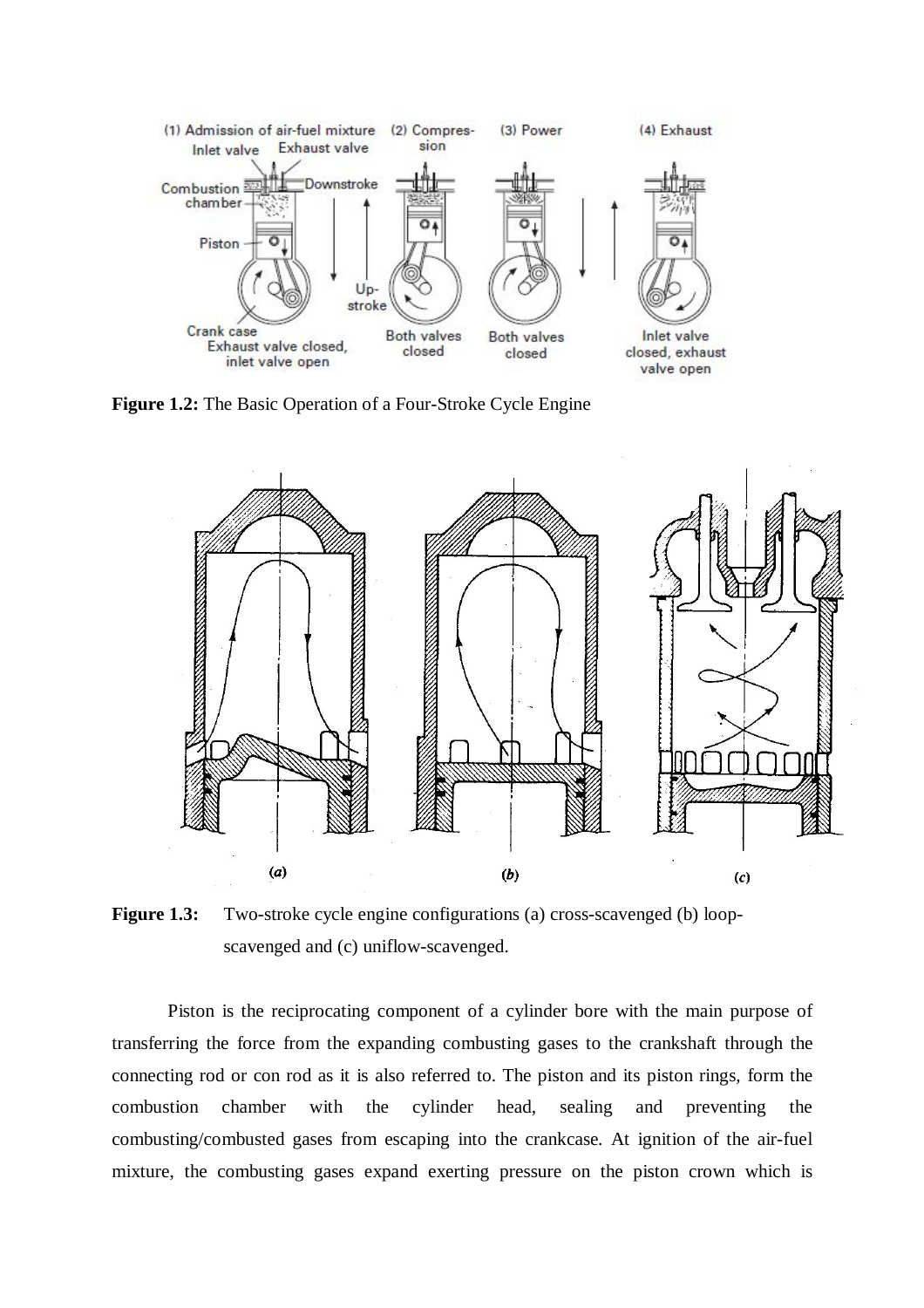

**Figure 1.2:** The Basic Operation of a Four-Stroke Cycle Engine

![](_page_1_Figure_2.jpeg)

**Figure 1.3:** Two-stroke cycle engine configurations (a) cross-scavenged (b) loopscavenged and (c) uniflow-scavenged.

Piston is the reciprocating component of a cylinder bore with the main purpose of transferring the force from the expanding combusting gases to the crankshaft through the connecting rod or con rod as it is also referred to. The piston and its piston rings, form the combustion chamber with the cylinder head, sealing and preventing the combusting/combusted gases from escaping into the crankcase. At ignition of the air-fuel mixture, the combusting gases expand exerting pressure on the piston crown which is